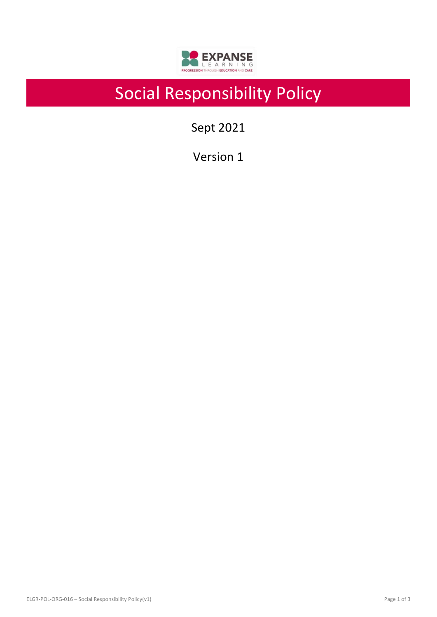

# Social Responsibility Policy

Sept 2021

Version 1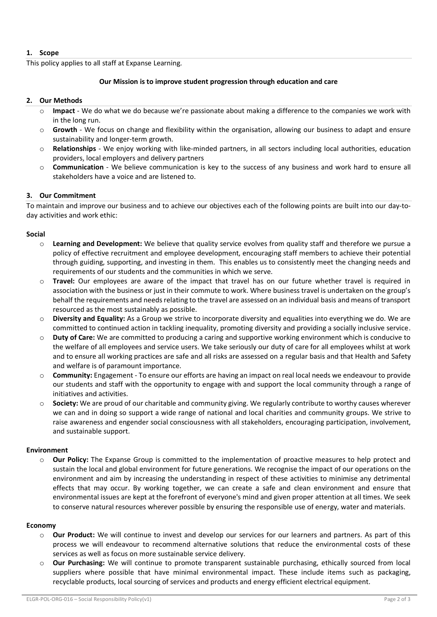## **1. Scope**

This policy applies to all staff at Expanse Learning.

## **Our Mission is to improve student progression through education and care**

## **2. Our Methods**

- **Impact** We do what we do because we're passionate about making a difference to the companies we work with in the long run.
- o **Growth** We focus on change and flexibility within the organisation, allowing our business to adapt and ensure sustainability and longer-term growth.
- o **Relationships** We enjoy working with like-minded partners, in all sectors including local authorities, education providers, local employers and delivery partners
- o **Communication** We believe communication is key to the success of any business and work hard to ensure all stakeholders have a voice and are listened to.

## **3. Our Commitment**

To maintain and improve our business and to achieve our objectives each of the following points are built into our day-today activities and work ethic:

## **Social**

- o **Learning and Development:** We believe that quality service evolves from quality staff and therefore we pursue a policy of effective recruitment and employee development, encouraging staff members to achieve their potential through guiding, supporting, and investing in them. This enables us to consistently meet the changing needs and requirements of our students and the communities in which we serve.
- Travel: Our employees are aware of the impact that travel has on our future whether travel is required in association with the business or just in their commute to work. Where business travel is undertaken on the group's behalf the requirements and needs relating to the travel are assessed on an individual basis and means of transport resourced as the most sustainably as possible.
- o **Diversity and Equality:** As a Group we strive to incorporate diversity and equalities into everything we do. We are committed to continued action in tackling inequality, promoting diversity and providing a socially inclusive service.
- o **Duty of Care:** We are committed to producing a caring and supportive working environment which is conducive to the welfare of all employees and service users. We take seriously our duty of care for all employees whilst at work and to ensure all working practices are safe and all risks are assessed on a regular basis and that Health and Safety and welfare is of paramount importance.
- o **Community:** Engagement To ensure our efforts are having an impact on real local needs we endeavour to provide our students and staff with the opportunity to engage with and support the local community through a range of initiatives and activities.
- o **Society:** We are proud of our charitable and community giving. We regularly contribute to worthy causes wherever we can and in doing so support a wide range of national and local charities and community groups. We strive to raise awareness and engender social consciousness with all stakeholders, encouraging participation, involvement, and sustainable support.

## **Environment**

o **Our Policy:** The Expanse Group is committed to the implementation of proactive measures to help protect and sustain the local and global environment for future generations. We recognise the impact of our operations on the environment and aim by increasing the understanding in respect of these activities to minimise any detrimental effects that may occur. By working together, we can create a safe and clean environment and ensure that environmental issues are kept at the forefront of everyone's mind and given proper attention at all times. We seek to conserve natural resources wherever possible by ensuring the responsible use of energy, water and materials.

## **Economy**

- o **Our Product:** We will continue to invest and develop our services for our learners and partners. As part of this process we will endeavour to recommend alternative solutions that reduce the environmental costs of these services as well as focus on more sustainable service delivery.
- o **Our Purchasing:** We will continue to promote transparent sustainable purchasing, ethically sourced from local suppliers where possible that have minimal environmental impact. These include items such as packaging, recyclable products, local sourcing of services and products and energy efficient electrical equipment.